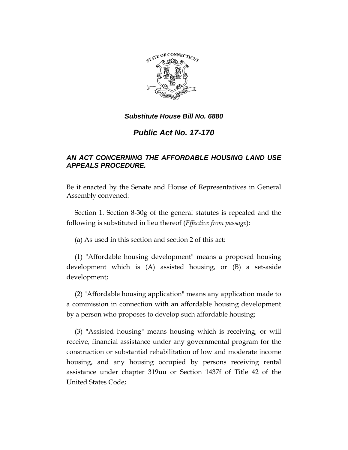

# *Public Act No. 17-170*

## *AN ACT CONCERNING THE AFFORDABLE HOUSING LAND USE APPEALS PROCEDURE.*

Be it enacted by the Senate and House of Representatives in General Assembly convened:

Section 1. Section 8-30g of the general statutes is repealed and the following is substituted in lieu thereof (*Effective from passage*):

(a) As used in this section and section 2 of this act:

(1) "Affordable housing development" means a proposed housing development which is (A) assisted housing, or (B) a set-aside development;

(2) "Affordable housing application" means any application made to a commission in connection with an affordable housing development by a person who proposes to develop such affordable housing;

(3) "Assisted housing" means housing which is receiving, or will receive, financial assistance under any governmental program for the construction or substantial rehabilitation of low and moderate income housing, and any housing occupied by persons receiving rental assistance under chapter 319uu or Section 1437f of Title 42 of the United States Code;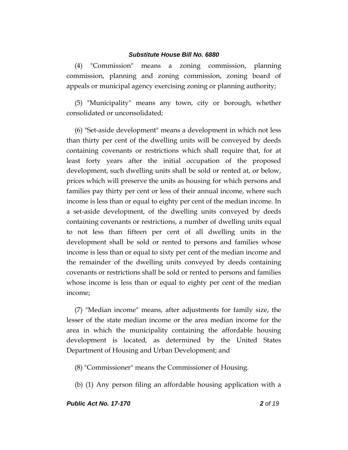(4) "Commission" means a zoning commission, planning commission, planning and zoning commission, zoning board of appeals or municipal agency exercising zoning or planning authority;

(5) "Municipality" means any town, city or borough, whether consolidated or unconsolidated;

(6) "Set-aside development" means a development in which not less than thirty per cent of the dwelling units will be conveyed by deeds containing covenants or restrictions which shall require that, for at least forty years after the initial occupation of the proposed development, such dwelling units shall be sold or rented at, or below, prices which will preserve the units as housing for which persons and families pay thirty per cent or less of their annual income, where such income is less than or equal to eighty per cent of the median income. In a set-aside development, of the dwelling units conveyed by deeds containing covenants or restrictions, a number of dwelling units equal to not less than fifteen per cent of all dwelling units in the development shall be sold or rented to persons and families whose income is less than or equal to sixty per cent of the median income and the remainder of the dwelling units conveyed by deeds containing covenants or restrictions shall be sold or rented to persons and families whose income is less than or equal to eighty per cent of the median income;

(7) "Median income" means, after adjustments for family size, the lesser of the state median income or the area median income for the area in which the municipality containing the affordable housing development is located, as determined by the United States Department of Housing and Urban Development; and

(8) "Commissioner" means the Commissioner of Housing.

(b) (1) Any person filing an affordable housing application with a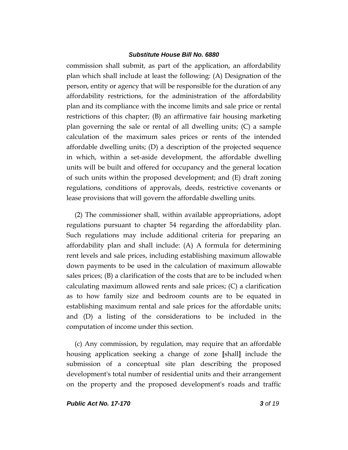commission shall submit, as part of the application, an affordability plan which shall include at least the following: (A) Designation of the person, entity or agency that will be responsible for the duration of any affordability restrictions, for the administration of the affordability plan and its compliance with the income limits and sale price or rental restrictions of this chapter; (B) an affirmative fair housing marketing plan governing the sale or rental of all dwelling units; (C) a sample calculation of the maximum sales prices or rents of the intended affordable dwelling units; (D) a description of the projected sequence in which, within a set-aside development, the affordable dwelling units will be built and offered for occupancy and the general location of such units within the proposed development; and (E) draft zoning regulations, conditions of approvals, deeds, restrictive covenants or lease provisions that will govern the affordable dwelling units.

(2) The commissioner shall, within available appropriations, adopt regulations pursuant to chapter 54 regarding the affordability plan. Such regulations may include additional criteria for preparing an affordability plan and shall include: (A) A formula for determining rent levels and sale prices, including establishing maximum allowable down payments to be used in the calculation of maximum allowable sales prices; (B) a clarification of the costs that are to be included when calculating maximum allowed rents and sale prices; (C) a clarification as to how family size and bedroom counts are to be equated in establishing maximum rental and sale prices for the affordable units; and (D) a listing of the considerations to be included in the computation of income under this section.

(c) Any commission, by regulation, may require that an affordable housing application seeking a change of zone **[**shall**]** include the submission of a conceptual site plan describing the proposed development's total number of residential units and their arrangement on the property and the proposed development's roads and traffic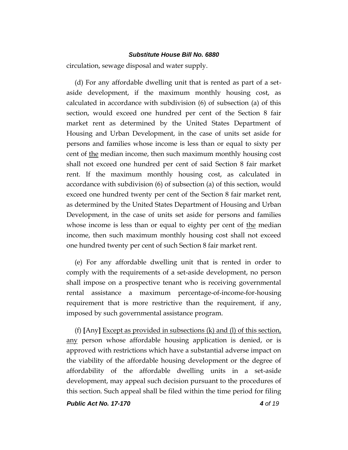circulation, sewage disposal and water supply.

(d) For any affordable dwelling unit that is rented as part of a setaside development, if the maximum monthly housing cost, as calculated in accordance with subdivision (6) of subsection (a) of this section, would exceed one hundred per cent of the Section 8 fair market rent as determined by the United States Department of Housing and Urban Development, in the case of units set aside for persons and families whose income is less than or equal to sixty per cent of the median income, then such maximum monthly housing cost shall not exceed one hundred per cent of said Section 8 fair market rent. If the maximum monthly housing cost, as calculated in accordance with subdivision (6) of subsection (a) of this section, would exceed one hundred twenty per cent of the Section 8 fair market rent, as determined by the United States Department of Housing and Urban Development, in the case of units set aside for persons and families whose income is less than or equal to eighty per cent of the median income, then such maximum monthly housing cost shall not exceed one hundred twenty per cent of such Section 8 fair market rent.

(e) For any affordable dwelling unit that is rented in order to comply with the requirements of a set-aside development, no person shall impose on a prospective tenant who is receiving governmental rental assistance a maximum percentage-of-income-for-housing requirement that is more restrictive than the requirement, if any, imposed by such governmental assistance program.

(f) **[**Any**]** Except as provided in subsections (k) and (l) of this section, any person whose affordable housing application is denied, or is approved with restrictions which have a substantial adverse impact on the viability of the affordable housing development or the degree of affordability of the affordable dwelling units in a set-aside development, may appeal such decision pursuant to the procedures of this section. Such appeal shall be filed within the time period for filing

*Public Act No. 17-170 4 of 19*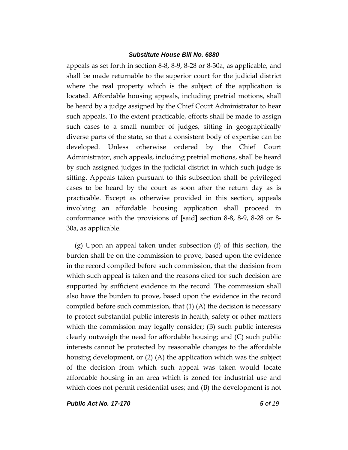appeals as set forth in section 8-8, 8-9, 8-28 or 8-30a, as applicable, and shall be made returnable to the superior court for the judicial district where the real property which is the subject of the application is located. Affordable housing appeals, including pretrial motions, shall be heard by a judge assigned by the Chief Court Administrator to hear such appeals. To the extent practicable, efforts shall be made to assign such cases to a small number of judges, sitting in geographically diverse parts of the state, so that a consistent body of expertise can be developed. Unless otherwise ordered by the Chief Court Administrator, such appeals, including pretrial motions, shall be heard by such assigned judges in the judicial district in which such judge is sitting. Appeals taken pursuant to this subsection shall be privileged cases to be heard by the court as soon after the return day as is practicable. Except as otherwise provided in this section, appeals involving an affordable housing application shall proceed in conformance with the provisions of **[**said**]** section 8-8, 8-9, 8-28 or 8- 30a, as applicable.

(g) Upon an appeal taken under subsection (f) of this section, the burden shall be on the commission to prove, based upon the evidence in the record compiled before such commission, that the decision from which such appeal is taken and the reasons cited for such decision are supported by sufficient evidence in the record. The commission shall also have the burden to prove, based upon the evidence in the record compiled before such commission, that  $(1)$  (A) the decision is necessary to protect substantial public interests in health, safety or other matters which the commission may legally consider; (B) such public interests clearly outweigh the need for affordable housing; and (C) such public interests cannot be protected by reasonable changes to the affordable housing development, or (2) (A) the application which was the subject of the decision from which such appeal was taken would locate affordable housing in an area which is zoned for industrial use and which does not permit residential uses; and (B) the development is not

*Public Act No. 17-170 5 of 19*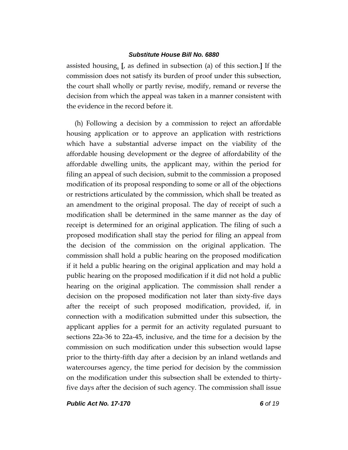assisted housing. **[**, as defined in subsection (a) of this section.**]** If the commission does not satisfy its burden of proof under this subsection, the court shall wholly or partly revise, modify, remand or reverse the decision from which the appeal was taken in a manner consistent with the evidence in the record before it.

(h) Following a decision by a commission to reject an affordable housing application or to approve an application with restrictions which have a substantial adverse impact on the viability of the affordable housing development or the degree of affordability of the affordable dwelling units, the applicant may, within the period for filing an appeal of such decision, submit to the commission a proposed modification of its proposal responding to some or all of the objections or restrictions articulated by the commission, which shall be treated as an amendment to the original proposal. The day of receipt of such a modification shall be determined in the same manner as the day of receipt is determined for an original application. The filing of such a proposed modification shall stay the period for filing an appeal from the decision of the commission on the original application. The commission shall hold a public hearing on the proposed modification if it held a public hearing on the original application and may hold a public hearing on the proposed modification if it did not hold a public hearing on the original application. The commission shall render a decision on the proposed modification not later than sixty-five days after the receipt of such proposed modification, provided, if, in connection with a modification submitted under this subsection, the applicant applies for a permit for an activity regulated pursuant to sections 22a-36 to 22a-45, inclusive, and the time for a decision by the commission on such modification under this subsection would lapse prior to the thirty-fifth day after a decision by an inland wetlands and watercourses agency, the time period for decision by the commission on the modification under this subsection shall be extended to thirtyfive days after the decision of such agency. The commission shall issue

*Public Act No. 17-170 6 of 19*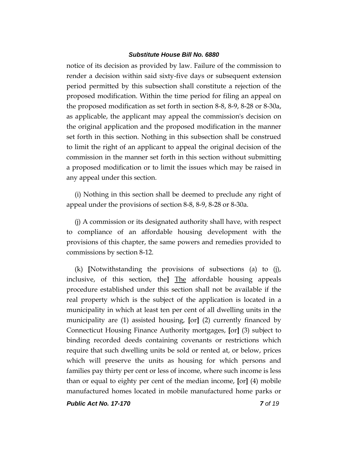notice of its decision as provided by law. Failure of the commission to render a decision within said sixty-five days or subsequent extension period permitted by this subsection shall constitute a rejection of the proposed modification. Within the time period for filing an appeal on the proposed modification as set forth in section 8-8, 8-9, 8-28 or 8-30a, as applicable, the applicant may appeal the commission's decision on the original application and the proposed modification in the manner set forth in this section. Nothing in this subsection shall be construed to limit the right of an applicant to appeal the original decision of the commission in the manner set forth in this section without submitting a proposed modification or to limit the issues which may be raised in any appeal under this section.

(i) Nothing in this section shall be deemed to preclude any right of appeal under the provisions of section 8-8, 8-9, 8-28 or 8-30a.

(j) A commission or its designated authority shall have, with respect to compliance of an affordable housing development with the provisions of this chapter, the same powers and remedies provided to commissions by section 8-12.

(k) **[**Notwithstanding the provisions of subsections (a) to (j), inclusive, of this section, the**]** The affordable housing appeals procedure established under this section shall not be available if the real property which is the subject of the application is located in a municipality in which at least ten per cent of all dwelling units in the municipality are (1) assisted housing, **[**or**]** (2) currently financed by Connecticut Housing Finance Authority mortgages, **[**or**]** (3) subject to binding recorded deeds containing covenants or restrictions which require that such dwelling units be sold or rented at, or below, prices which will preserve the units as housing for which persons and families pay thirty per cent or less of income, where such income is less than or equal to eighty per cent of the median income, **[**or**]** (4) mobile manufactured homes located in mobile manufactured home parks or

*Public Act No. 17-170 7 of 19*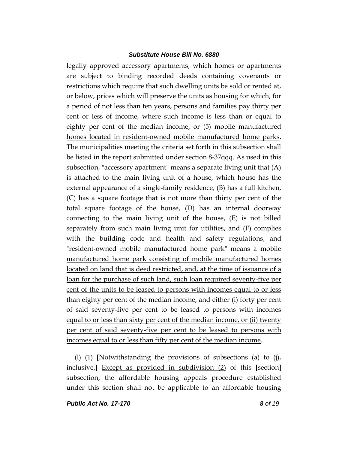legally approved accessory apartments, which homes or apartments are subject to binding recorded deeds containing covenants or restrictions which require that such dwelling units be sold or rented at, or below, prices which will preserve the units as housing for which, for a period of not less than ten years, persons and families pay thirty per cent or less of income, where such income is less than or equal to eighty per cent of the median income, or (5) mobile manufactured homes located in resident-owned mobile manufactured home parks. The municipalities meeting the criteria set forth in this subsection shall be listed in the report submitted under section 8-37qqq. As used in this subsection, "accessory apartment" means a separate living unit that (A) is attached to the main living unit of a house, which house has the external appearance of a single-family residence, (B) has a full kitchen, (C) has a square footage that is not more than thirty per cent of the total square footage of the house, (D) has an internal doorway connecting to the main living unit of the house, (E) is not billed separately from such main living unit for utilities, and (F) complies with the building code and health and safety regulations, and "resident-owned mobile manufactured home park" means a mobile manufactured home park consisting of mobile manufactured homes located on land that is deed restricted, and, at the time of issuance of a loan for the purchase of such land, such loan required seventy-five per cent of the units to be leased to persons with incomes equal to or less than eighty per cent of the median income, and either (i) forty per cent of said seventy-five per cent to be leased to persons with incomes equal to or less than sixty per cent of the median income, or (ii) twenty per cent of said seventy-five per cent to be leased to persons with incomes equal to or less than fifty per cent of the median income.

(l) (1) **[**Notwithstanding the provisions of subsections (a) to (j), inclusive,**]** Except as provided in subdivision (2) of this **[**section**]** subsection, the affordable housing appeals procedure established under this section shall not be applicable to an affordable housing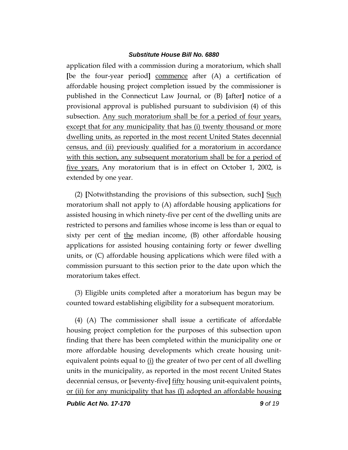application filed with a commission during a moratorium, which shall **[**be the four-year period**]** commence after (A) a certification of affordable housing project completion issued by the commissioner is published in the Connecticut Law Journal, or (B) **[**after**]** notice of a provisional approval is published pursuant to subdivision (4) of this subsection. Any such moratorium shall be for a period of four years, except that for any municipality that has (i) twenty thousand or more dwelling units, as reported in the most recent United States decennial census, and (ii) previously qualified for a moratorium in accordance with this section, any subsequent moratorium shall be for a period of five years. Any moratorium that is in effect on October 1, 2002, is extended by one year.

(2) **[**Notwithstanding the provisions of this subsection, such**]** Such moratorium shall not apply to (A) affordable housing applications for assisted housing in which ninety-five per cent of the dwelling units are restricted to persons and families whose income is less than or equal to sixty per cent of the median income,  $(B)$  other affordable housing applications for assisted housing containing forty or fewer dwelling units, or (C) affordable housing applications which were filed with a commission pursuant to this section prior to the date upon which the moratorium takes effect.

(3) Eligible units completed after a moratorium has begun may be counted toward establishing eligibility for a subsequent moratorium.

(4) (A) The commissioner shall issue a certificate of affordable housing project completion for the purposes of this subsection upon finding that there has been completed within the municipality one or more affordable housing developments which create housing unitequivalent points equal to  $(i)$  the greater of two per cent of all dwelling units in the municipality, as reported in the most recent United States decennial census, or **[**seventy-five**]** fifty housing unit-equivalent points, or (ii) for any municipality that has (I) adopted an affordable housing

*Public Act No. 17-170 9 of 19*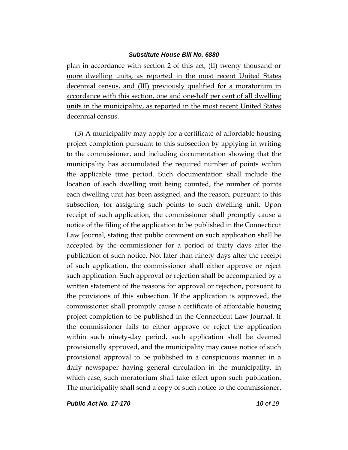plan in accordance with section 2 of this act, (II) twenty thousand or more dwelling units, as reported in the most recent United States decennial census, and (III) previously qualified for a moratorium in accordance with this section, one and one-half per cent of all dwelling units in the municipality, as reported in the most recent United States decennial census.

(B) A municipality may apply for a certificate of affordable housing project completion pursuant to this subsection by applying in writing to the commissioner, and including documentation showing that the municipality has accumulated the required number of points within the applicable time period. Such documentation shall include the location of each dwelling unit being counted, the number of points each dwelling unit has been assigned, and the reason, pursuant to this subsection, for assigning such points to such dwelling unit. Upon receipt of such application, the commissioner shall promptly cause a notice of the filing of the application to be published in the Connecticut Law Journal, stating that public comment on such application shall be accepted by the commissioner for a period of thirty days after the publication of such notice. Not later than ninety days after the receipt of such application, the commissioner shall either approve or reject such application. Such approval or rejection shall be accompanied by a written statement of the reasons for approval or rejection**,** pursuant to the provisions of this subsection. If the application is approved, the commissioner shall promptly cause a certificate of affordable housing project completion to be published in the Connecticut Law Journal. If the commissioner fails to either approve or reject the application within such ninety-day period, such application shall be deemed provisionally approved, and the municipality may cause notice of such provisional approval to be published in a conspicuous manner in a daily newspaper having general circulation in the municipality, in which case, such moratorium shall take effect upon such publication. The municipality shall send a copy of such notice to the commissioner.

*Public Act No. 17-170 10 of 19*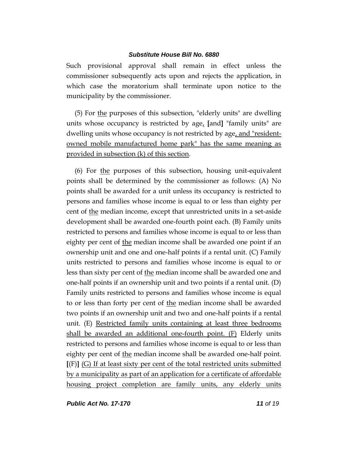Such provisional approval shall remain in effect unless the commissioner subsequently acts upon and rejects the application, in which case the moratorium shall terminate upon notice to the municipality by the commissioner.

(5) For the purposes of this subsection, "elderly units" are dwelling units whose occupancy is restricted by age, **[**and**]** "family units" are dwelling units whose occupancy is not restricted by age, and "residentowned mobile manufactured home park" has the same meaning as provided in subsection (k) of this section.

(6) For the purposes of this subsection, housing unit-equivalent points shall be determined by the commissioner as follows: (A) No points shall be awarded for a unit unless its occupancy is restricted to persons and families whose income is equal to or less than eighty per cent of the median income, except that unrestricted units in a set-aside development shall be awarded one-fourth point each. (B) Family units restricted to persons and families whose income is equal to or less than eighty per cent of the median income shall be awarded one point if an ownership unit and one and one-half points if a rental unit. (C) Family units restricted to persons and families whose income is equal to or less than sixty per cent of the median income shall be awarded one and one-half points if an ownership unit and two points if a rental unit. (D) Family units restricted to persons and families whose income is equal to or less than forty per cent of the median income shall be awarded two points if an ownership unit and two and one-half points if a rental unit. (E) Restricted family units containing at least three bedrooms shall be awarded an additional one-fourth point. (F) Elderly units restricted to persons and families whose income is equal to or less than eighty per cent of the median income shall be awarded one-half point. **[**(F)**]** (G) If at least sixty per cent of the total restricted units submitted by a municipality as part of an application for a certificate of affordable housing project completion are family units, any elderly units

*Public Act No. 17-170 11 of 19*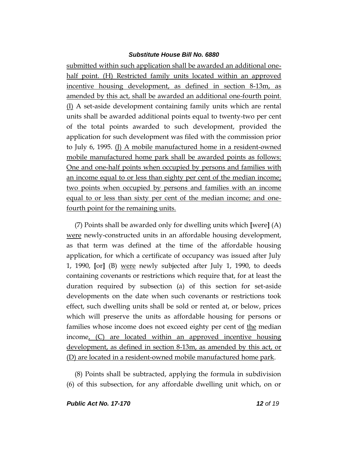submitted within such application shall be awarded an additional onehalf point. (H) Restricted family units located within an approved incentive housing development, as defined in section 8-13m, as amended by this act, shall be awarded an additional one-fourth point. (I) A set-aside development containing family units which are rental units shall be awarded additional points equal to twenty-two per cent of the total points awarded to such development, provided the application for such development was filed with the commission prior to July 6, 1995. (J) A mobile manufactured home in a resident-owned mobile manufactured home park shall be awarded points as follows: One and one-half points when occupied by persons and families with an income equal to or less than eighty per cent of the median income; two points when occupied by persons and families with an income equal to or less than sixty per cent of the median income; and onefourth point for the remaining units.

(7) Points shall be awarded only for dwelling units which **[**were**]** (A) were newly-constructed units in an affordable housing development, as that term was defined at the time of the affordable housing application, for which a certificate of occupancy was issued after July 1, 1990, **[**or**]** (B) were newly subjected after July 1, 1990, to deeds containing covenants or restrictions which require that, for at least the duration required by subsection (a) of this section for set-aside developments on the date when such covenants or restrictions took effect, such dwelling units shall be sold or rented at, or below, prices which will preserve the units as affordable housing for persons or families whose income does not exceed eighty per cent of the median income, (C) are located within an approved incentive housing development, as defined in section 8-13m, as amended by this act, or (D) are located in a resident-owned mobile manufactured home park.

(8) Points shall be subtracted, applying the formula in subdivision (6) of this subsection, for any affordable dwelling unit which, on or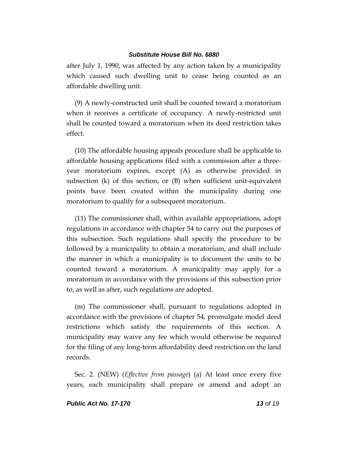after July 1, 1990, was affected by any action taken by a municipality which caused such dwelling unit to cease being counted as an affordable dwelling unit.

(9) A newly-constructed unit shall be counted toward a moratorium when it receives a certificate of occupancy. A newly-restricted unit shall be counted toward a moratorium when its deed restriction takes effect.

(10) The affordable housing appeals procedure shall be applicable to affordable housing applications filed with a commission after a threeyear moratorium expires, except (A) as otherwise provided in subsection (k) of this section, or (B) when sufficient unit-equivalent points have been created within the municipality during one moratorium to qualify for a subsequent moratorium.

(11) The commissioner shall, within available appropriations, adopt regulations in accordance with chapter 54 to carry out the purposes of this subsection. Such regulations shall specify the procedure to be followed by a municipality to obtain a moratorium, and shall include the manner in which a municipality is to document the units to be counted toward a moratorium. A municipality may apply for a moratorium in accordance with the provisions of this subsection prior to, as well as after, such regulations are adopted.

(m) The commissioner shall, pursuant to regulations adopted in accordance with the provisions of chapter 54, promulgate model deed restrictions which satisfy the requirements of this section. A municipality may waive any fee which would otherwise be required for the filing of any long-term affordability deed restriction on the land records.

Sec. 2. (NEW) (*Effective from passage*) (a) At least once every five years, each municipality shall prepare or amend and adopt an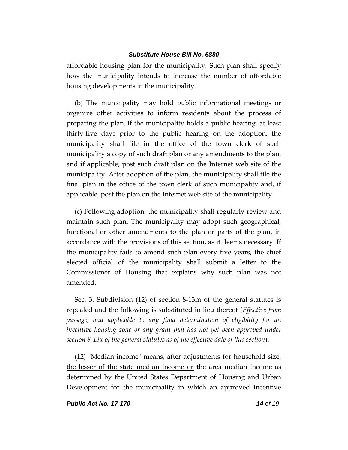affordable housing plan for the municipality. Such plan shall specify how the municipality intends to increase the number of affordable housing developments in the municipality.

(b) The municipality may hold public informational meetings or organize other activities to inform residents about the process of preparing the plan. If the municipality holds a public hearing, at least thirty-five days prior to the public hearing on the adoption, the municipality shall file in the office of the town clerk of such municipality a copy of such draft plan or any amendments to the plan, and if applicable, post such draft plan on the Internet web site of the municipality. After adoption of the plan, the municipality shall file the final plan in the office of the town clerk of such municipality and, if applicable, post the plan on the Internet web site of the municipality.

(c) Following adoption, the municipality shall regularly review and maintain such plan. The municipality may adopt such geographical, functional or other amendments to the plan or parts of the plan, in accordance with the provisions of this section, as it deems necessary. If the municipality fails to amend such plan every five years, the chief elected official of the municipality shall submit a letter to the Commissioner of Housing that explains why such plan was not amended.

Sec. 3. Subdivision (12) of section 8-13m of the general statutes is repealed and the following is substituted in lieu thereof (*Effective from passage, and applicable to any final determination of eligibility for an incentive housing zone or any grant that has not yet been approved under section 8-13x of the general statutes as of the effective date of this section*):

(12) "Median income" means, after adjustments for household size, the lesser of the state median income or the area median income as determined by the United States Department of Housing and Urban Development for the municipality in which an approved incentive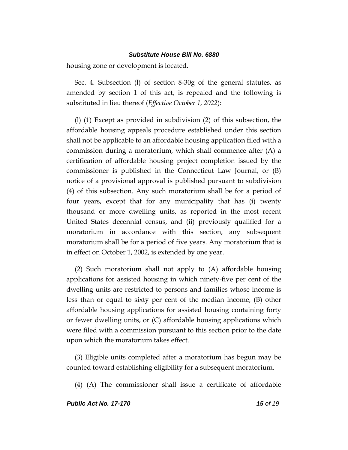housing zone or development is located.

Sec. 4. Subsection (l) of section 8-30g of the general statutes, as amended by section 1 of this act, is repealed and the following is substituted in lieu thereof (*Effective October 1, 2022*):

(l) (1) Except as provided in subdivision (2) of this subsection, the affordable housing appeals procedure established under this section shall not be applicable to an affordable housing application filed with a commission during a moratorium, which shall commence after (A) a certification of affordable housing project completion issued by the commissioner is published in the Connecticut Law Journal, or (B) notice of a provisional approval is published pursuant to subdivision (4) of this subsection. Any such moratorium shall be for a period of four years, except that for any municipality that has (i) twenty thousand or more dwelling units, as reported in the most recent United States decennial census, and (ii) previously qualified for a moratorium in accordance with this section, any subsequent moratorium shall be for a period of five years. Any moratorium that is in effect on October 1, 2002, is extended by one year.

(2) Such moratorium shall not apply to (A) affordable housing applications for assisted housing in which ninety-five per cent of the dwelling units are restricted to persons and families whose income is less than or equal to sixty per cent of the median income, (B) other affordable housing applications for assisted housing containing forty or fewer dwelling units, or (C) affordable housing applications which were filed with a commission pursuant to this section prior to the date upon which the moratorium takes effect.

(3) Eligible units completed after a moratorium has begun may be counted toward establishing eligibility for a subsequent moratorium.

(4) (A) The commissioner shall issue a certificate of affordable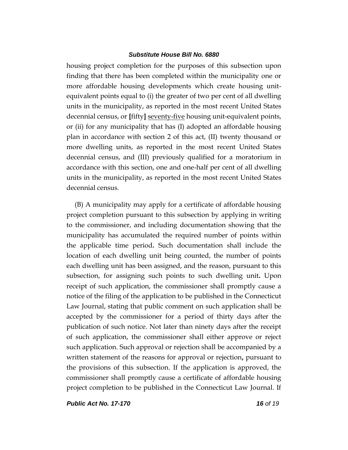housing project completion for the purposes of this subsection upon finding that there has been completed within the municipality one or more affordable housing developments which create housing unitequivalent points equal to (i) the greater of two per cent of all dwelling units in the municipality, as reported in the most recent United States decennial census, or **[**fifty**]** seventy-five housing unit-equivalent points, or (ii) for any municipality that has (I) adopted an affordable housing plan in accordance with section 2 of this act, (II) twenty thousand or more dwelling units, as reported in the most recent United States decennial census, and (III) previously qualified for a moratorium in accordance with this section, one and one-half per cent of all dwelling units in the municipality, as reported in the most recent United States decennial census.

(B) A municipality may apply for a certificate of affordable housing project completion pursuant to this subsection by applying in writing to the commissioner, and including documentation showing that the municipality has accumulated the required number of points within the applicable time period**.** Such documentation shall include the location of each dwelling unit being counted, the number of points each dwelling unit has been assigned, and the reason, pursuant to this subsection, for assigning such points to such dwelling unit**.** Upon receipt of such application, the commissioner shall promptly cause a notice of the filing of the application to be published in the Connecticut Law Journal, stating that public comment on such application shall be accepted by the commissioner for a period of thirty days after the publication of such notice. Not later than ninety days after the receipt of such application, the commissioner shall either approve or reject such application. Such approval or rejection shall be accompanied by a written statement of the reasons for approval or rejection**,** pursuant to the provisions of this subsection. If the application is approved, the commissioner shall promptly cause a certificate of affordable housing project completion to be published in the Connecticut Law Journal. If

*Public Act No. 17-170 16 of 19*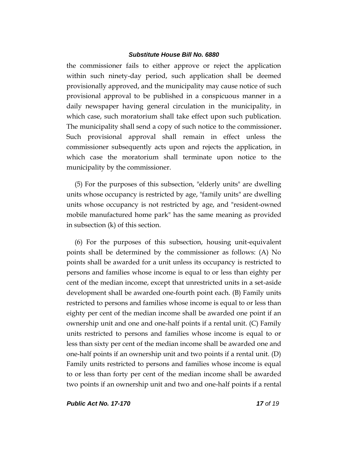the commissioner fails to either approve or reject the application within such ninety-day period, such application shall be deemed provisionally approved, and the municipality may cause notice of such provisional approval to be published in a conspicuous manner in a daily newspaper having general circulation in the municipality, in which case, such moratorium shall take effect upon such publication. The municipality shall send a copy of such notice to the commissioner**.** Such provisional approval shall remain in effect unless the commissioner subsequently acts upon and rejects the application, in which case the moratorium shall terminate upon notice to the municipality by the commissioner.

(5) For the purposes of this subsection, "elderly units" are dwelling units whose occupancy is restricted by age, "family units" are dwelling units whose occupancy is not restricted by age, and "resident-owned mobile manufactured home park" has the same meaning as provided in subsection (k) of this section.

(6) For the purposes of this subsection, housing unit-equivalent points shall be determined by the commissioner as follows: (A) No points shall be awarded for a unit unless its occupancy is restricted to persons and families whose income is equal to or less than eighty per cent of the median income, except that unrestricted units in a set-aside development shall be awarded one-fourth point each. (B) Family units restricted to persons and families whose income is equal to or less than eighty per cent of the median income shall be awarded one point if an ownership unit and one and one-half points if a rental unit. (C) Family units restricted to persons and families whose income is equal to or less than sixty per cent of the median income shall be awarded one and one-half points if an ownership unit and two points if a rental unit. (D) Family units restricted to persons and families whose income is equal to or less than forty per cent of the median income shall be awarded two points if an ownership unit and two and one-half points if a rental

*Public Act No. 17-170 17 of 19*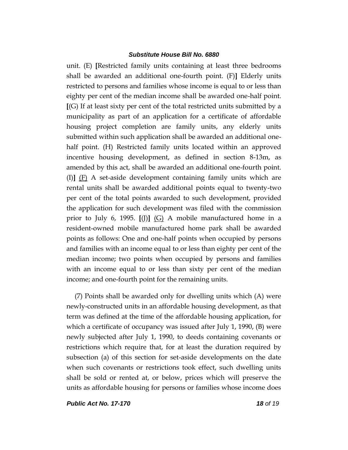unit. (E) **[**Restricted family units containing at least three bedrooms shall be awarded an additional one-fourth point. (F)**]** Elderly units restricted to persons and families whose income is equal to or less than eighty per cent of the median income shall be awarded one-half point. **[**(G) If at least sixty per cent of the total restricted units submitted by a municipality as part of an application for a certificate of affordable housing project completion are family units, any elderly units submitted within such application shall be awarded an additional onehalf point. (H) Restricted family units located within an approved incentive housing development, as defined in section 8-13m, as amended by this act, shall be awarded an additional one-fourth point. (I)**]** (F) A set-aside development containing family units which are rental units shall be awarded additional points equal to twenty-two per cent of the total points awarded to such development, provided the application for such development was filed with the commission prior to July 6, 1995. **[**(J)**]** (G) A mobile manufactured home in a resident-owned mobile manufactured home park shall be awarded points as follows: One and one-half points when occupied by persons and families with an income equal to or less than eighty per cent of the median income; two points when occupied by persons and families with an income equal to or less than sixty per cent of the median income; and one-fourth point for the remaining units.

(7) Points shall be awarded only for dwelling units which (A) were newly-constructed units in an affordable housing development, as that term was defined at the time of the affordable housing application, for which a certificate of occupancy was issued after July 1, 1990, (B) were newly subjected after July 1, 1990, to deeds containing covenants or restrictions which require that, for at least the duration required by subsection (a) of this section for set-aside developments on the date when such covenants or restrictions took effect, such dwelling units shall be sold or rented at, or below, prices which will preserve the units as affordable housing for persons or families whose income does

*Public Act No. 17-170 18 of 19*